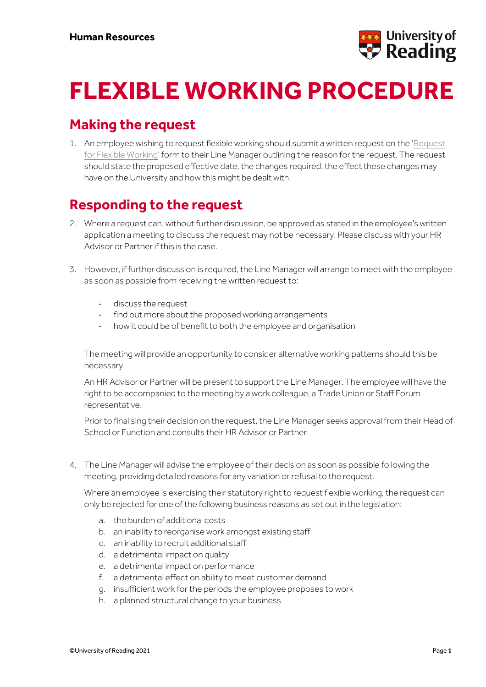

# **FLEXIBLE WORKING PROCEDURE**

### **Making the request**

1. An employee wishing to request flexible working should submit a written request on the '[Request](https://www.reading.ac.uk/human-resources/-/media/project/functions/human-resources/documents/flexible-working-request-form-2021.docx?la=en&hash=77B91D188CB4ACF6D8FCD61DDEEBB27A)  [for Flexible Working](https://www.reading.ac.uk/human-resources/-/media/project/functions/human-resources/documents/flexible-working-request-form-2021.docx?la=en&hash=77B91D188CB4ACF6D8FCD61DDEEBB27A)' form to their Line Manager outlining the reason for the request. The request should state the proposed effective date, the changes required, the effect these changes may have on the University and how this might be dealt with.

#### **Responding to the request**

- 2. Where a request can, without further discussion, be approved as stated in the employee's written application a meeting to discuss the request may not be necessary. Please discuss with your HR Advisor or Partner if this is the case.
- 3. However, if further discussion is required, the Line Manager will arrange to meet with the employee as soon as possible from receiving the written request to:
	- discuss the request
	- find out more about the proposed working arrangements
	- how it could be of benefit to both the employee and organisation

The meeting will provide an opportunity to consider alternative working patterns should this be necessary.

An HR Advisor or Partner will be present to support the Line Manager. The employee will have the right to be accompanied to the meeting by a work colleague, a Trade Union or Staff Forum representative.

Prior to finalising their decision on the request, the Line Manager seeks approval from their Head of School or Function and consults their HR Advisor or Partner.

4. The Line Manager will advise the employee of their decision as soon as possible following the meeting, providing detailed reasons for any variation or refusal to the request.

Where an employee is exercising their statutory right to request flexible working, the request can only be rejected for one of the following business reasons as set out in the legislation:

- a. the burden of additional costs
- b. an inability to reorganise work amongst existing staff
- c. an inability to recruit additional staff
- d. a detrimental impact on quality
- e. a detrimental impact on performance
- f. a detrimental effect on ability to meet customer demand
- g. insufficient work for the periods the employee proposes to work
- h. a planned structural change to your business